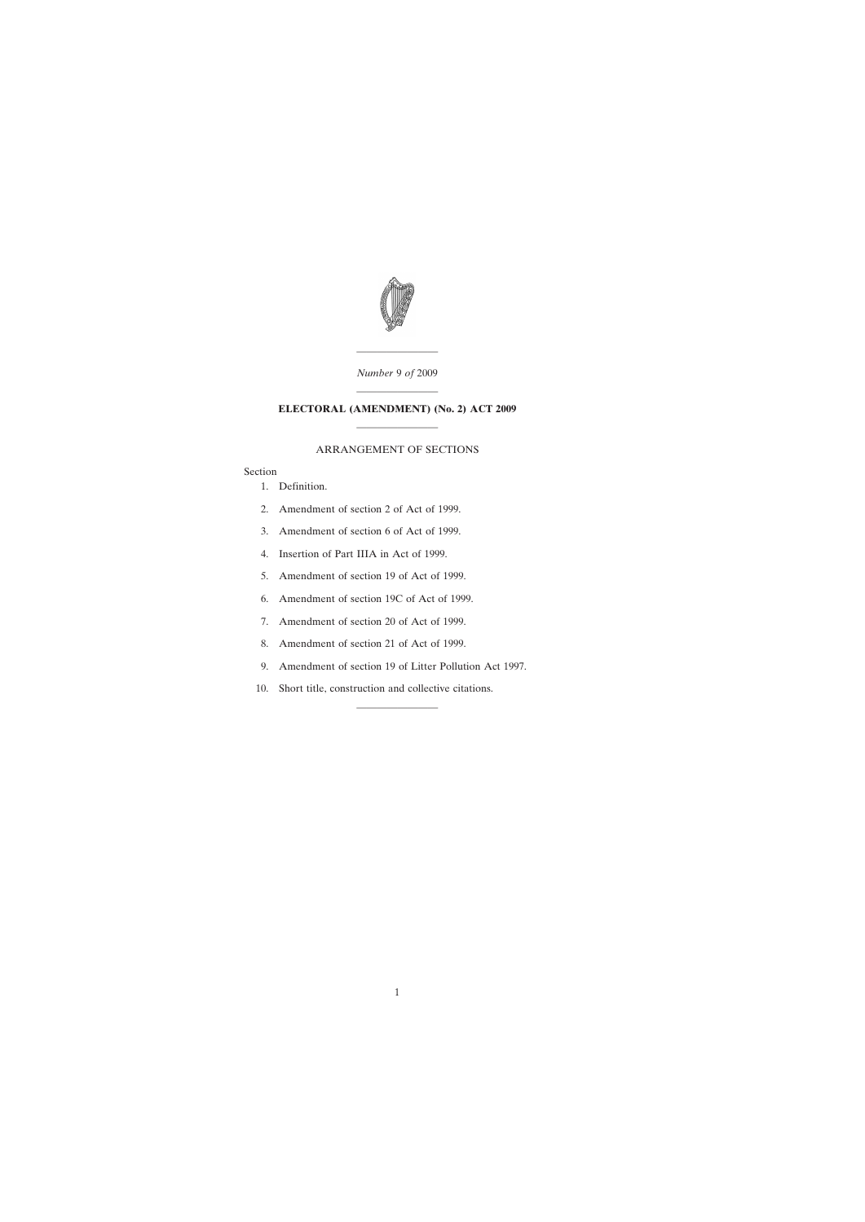

———————— *Number* 9 *of* 2009

# ———————— **ELECTORAL (AMENDMENT) (No. 2) ACT 2009** ————————

## ARRANGEMENT OF SECTIONS

### Section

- [1. Definition.](#page-2-0)
- [2. Amendment of section 2 of Act of 1999.](#page-2-0)
- [3. Amendment of section 6 of Act of 1999.](#page-2-0)
- [4. Insertion of Part IIIA in Act of 1999.](#page-3-0)
- [5. Amendment of section 19 of Act of 1999.](#page-5-0)
- [6. Amendment of section 19C of Act of 1999.](#page-5-0)
- [7. Amendment of section 20 of Act of 1999.](#page-5-0)
- [8. Amendment of section 21 of Act of 1999.](#page-5-0)
- [9. Amendment of section 19 of Litter Pollution Act 1997.](#page-6-0)

————————

[10. Short title, construction and collective citations.](#page-7-0)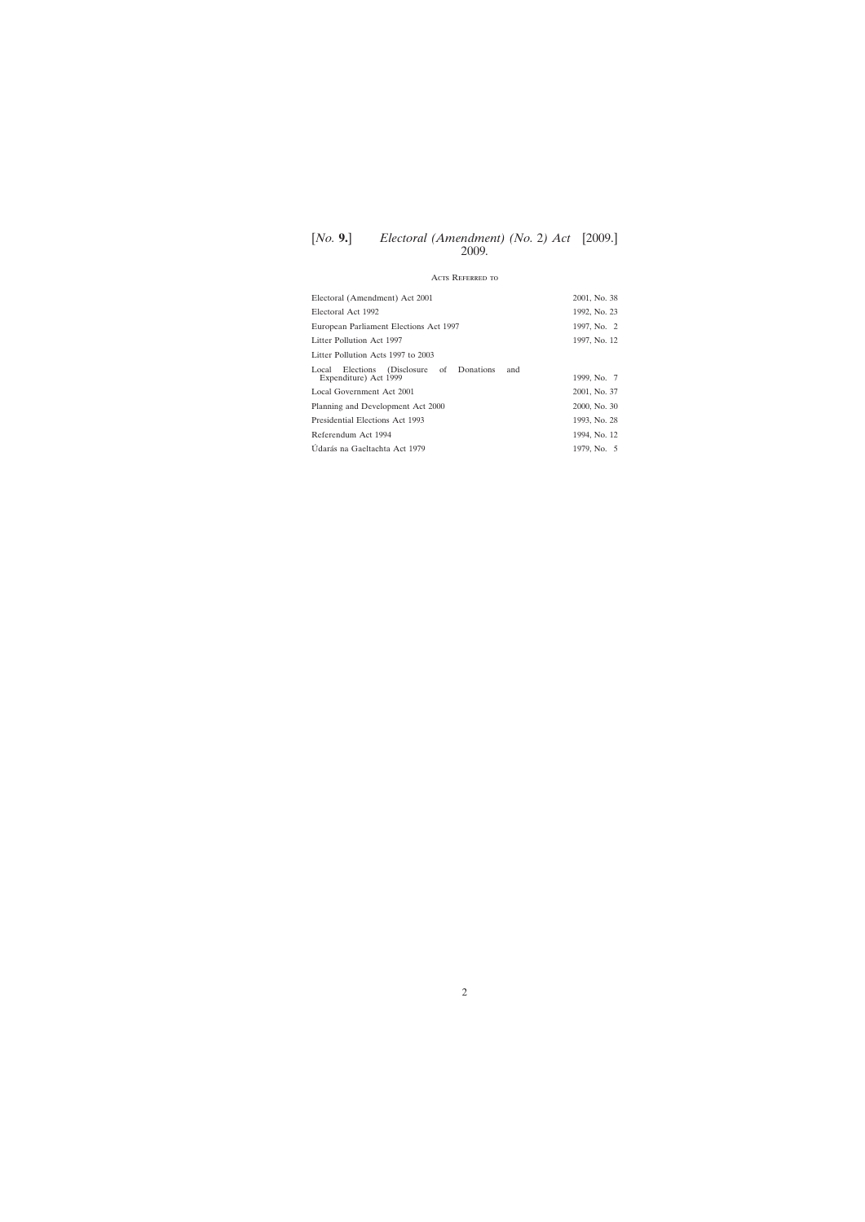# [*No.* **9.**] [2009.] *Electoral (Amendment) (No.* 2*) Act* 2009*.*

## Acts Referred to

| Electoral (Amendment) Act 2001                                                 | 2001, No. 38 |
|--------------------------------------------------------------------------------|--------------|
| Electoral Act 1992                                                             | 1992, No. 23 |
| European Parliament Elections Act 1997                                         | 1997, No. 2  |
| Litter Pollution Act 1997                                                      | 1997, No. 12 |
| Litter Pollution Acts 1997 to 2003                                             |              |
| (Disclosure of Donations<br>Elections<br>and<br>Local<br>Expenditure) Act 1999 | 1999, No. 7  |
| Local Government Act 2001                                                      | 2001, No. 37 |
| Planning and Development Act 2000                                              | 2000, No. 30 |
| Presidential Elections Act 1993                                                | 1993, No. 28 |
| Referendum Act 1994                                                            | 1994, No. 12 |
| Udarás na Gaeltachta Act 1979                                                  | 1979, No. 5  |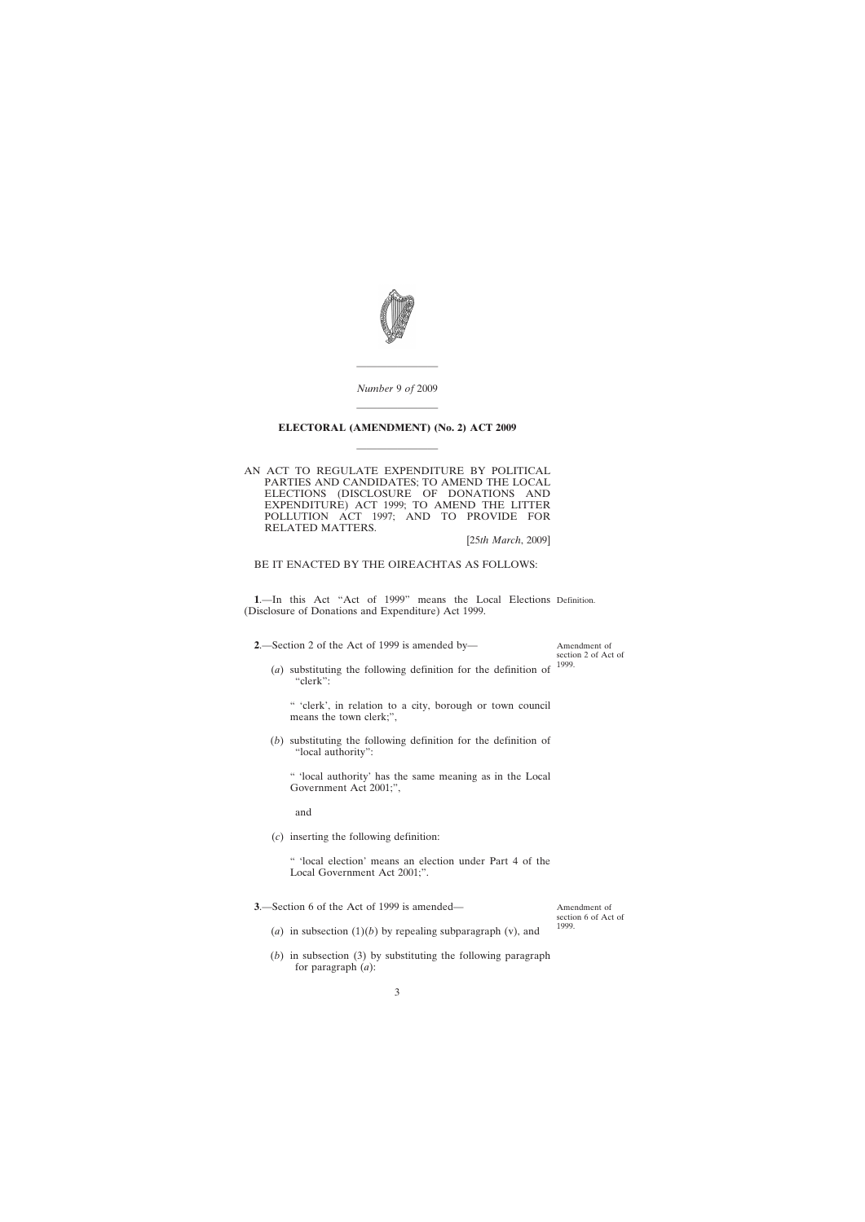<span id="page-2-0"></span>

*Number* 9 *of* 2009 ————————

————————

# **ELECTORAL (AMENDMENT) (No. 2) ACT 2009** ————————

AN ACT TO REGULATE EXPENDITURE BY POLITICAL PARTIES AND CANDIDATES; TO AMEND THE LOCAL ELECTIONS (DISCLOSURE OF DONATIONS AND EXPENDITURE) ACT 1999; TO AMEND THE LITTER POLLUTION ACT 1997; AND TO PROVIDE FOR RELATED MATTERS.

[25*th March*, 2009]

BE IT ENACTED BY THE OIREACHTAS AS FOLLOWS:

**1**.—In this Act "Act of 1999" means the Local Elections Definition. (Disclosure of Donations and Expenditure) Act 1999.

**2**.—Section 2 of the Act of 1999 is amended by—

(*a*) substituting the following definition for the definition of "clerk": 1999.

" 'clerk', in relation to a city, borough or town council means the town clerk;",

(*b*) substituting the following definition for the definition of "local authority":

" 'local authority' has the same meaning as in the Local Government Act 2001;",

and

(*c*) inserting the following definition:

" 'local election' means an election under Part 4 of the Local Government Act 2001;".

**3**.—Section 6 of the Act of 1999 is amended—

Amendment of section 6 of Act of 1999.

Amendment of section 2 of Act of

- (*a*) in subsection  $(1)(b)$  by repealing subparagraph (v), and
- (*b*) in subsection (3) by substituting the following paragraph for paragraph (*a*):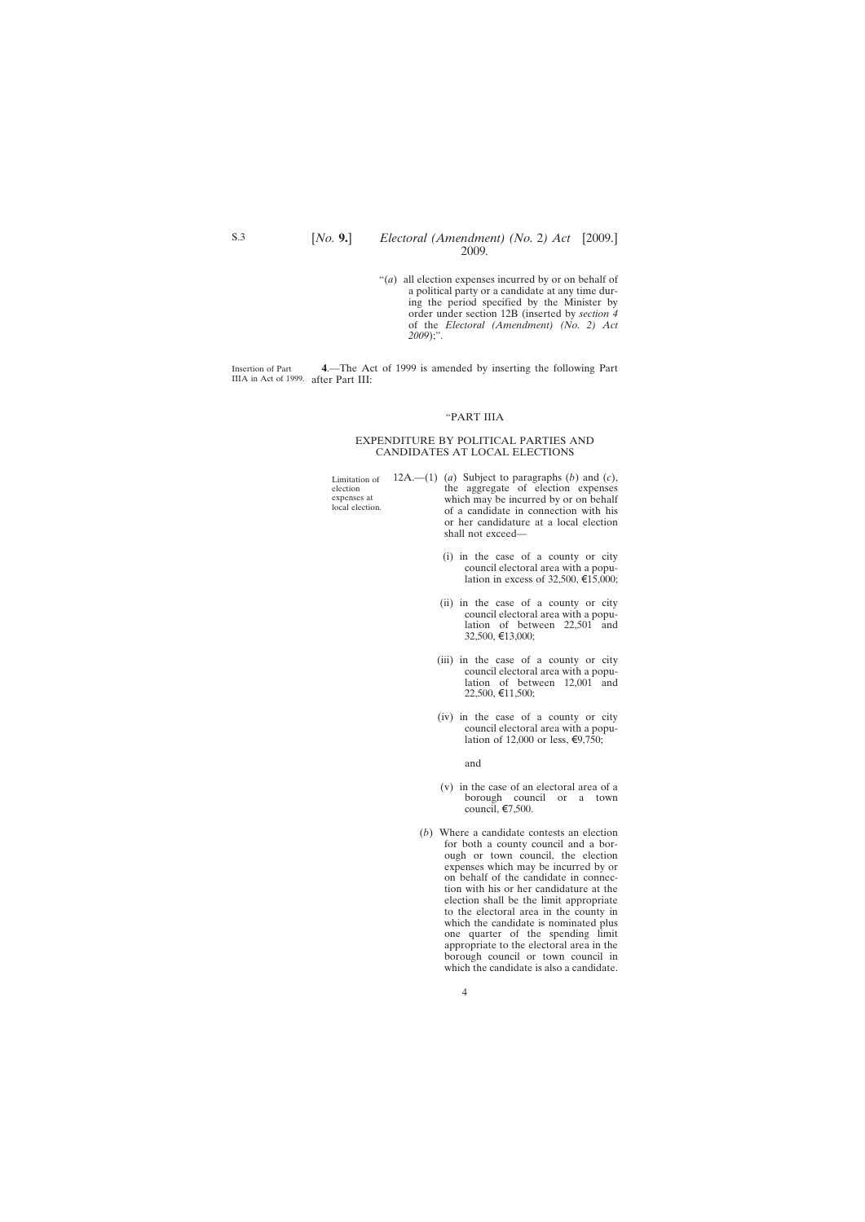"(*a*) all election expenses incurred by or on behalf of a political party or a candidate at any time during the period specified by the Minister by order under section 12B (inserted by *section 4* of the *Electoral (Amendment) (No. 2) Act 2009*);".

<span id="page-3-0"></span>Insertion of Part IIIA in Act of 1999. after Part III: **4**.—The Act of 1999 is amended by inserting the following Part

#### "PART IIIA

#### EXPENDITURE BY POLITICAL PARTIES AND CANDIDATES AT LOCAL ELECTIONS

Limitation of election expenses at local election. 12A.—(1) (*a*) Subject to paragraphs (*b*) and (*c*), the aggregate of election expenses which may be incurred by or on behalf of a candidate in connection with his or her candidature at a local election

shall not exceed—

- (i) in the case of a county or city council electoral area with a population in excess of 32,500,  $\epsilon$ 15,000;
- (ii) in the case of a county or city council electoral area with a population of between 22,501 and 32,500, €13,000;
- (iii) in the case of a county or city council electoral area with a population of between 12,001 and 22,500, €11,500;
- (iv) in the case of a county or city council electoral area with a population of 12,000 or less, €9,750;

and

- (v) in the case of an electoral area of a borough council or a town council,  $\epsilon$ 7,500.
- (*b*) Where a candidate contests an election for both a county council and a borough or town council, the election expenses which may be incurred by or on behalf of the candidate in connection with his or her candidature at the election shall be the limit appropriate to the electoral area in the county in which the candidate is nominated plus one quarter of the spending limit appropriate to the electoral area in the borough council or town council in which the candidate is also a candidate.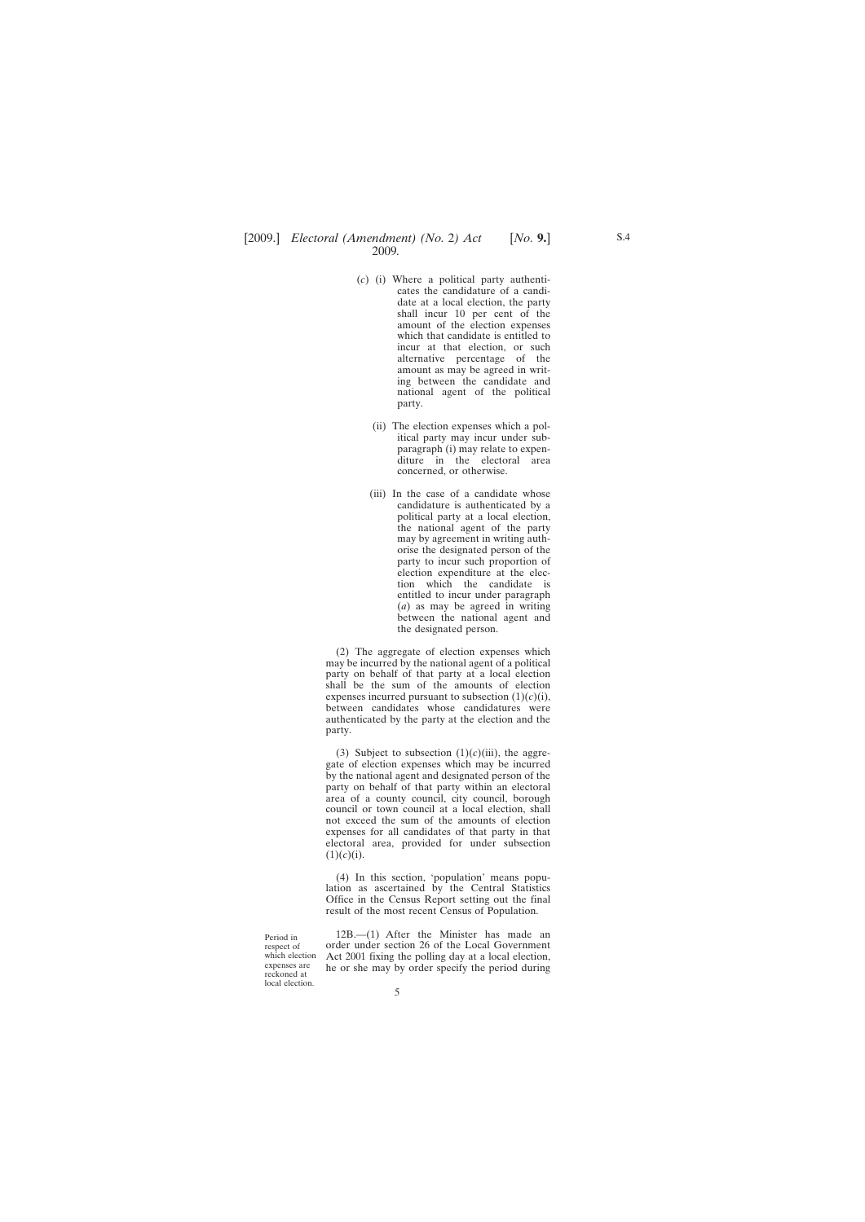- (*c*) (i) Where a political party authenticates the candidature of a candidate at a local election, the party shall incur 10 per cent of the amount of the election expenses which that candidate is entitled to incur at that election, or such alternative percentage of the amount as may be agreed in writing between the candidate and national agent of the political party.
	- (ii) The election expenses which a political party may incur under subparagraph (i) may relate to expenditure in the electoral area concerned, or otherwise.
	- (iii) In the case of a candidate whose candidature is authenticated by a political party at a local election, the national agent of the party may by agreement in writing authorise the designated person of the party to incur such proportion of election expenditure at the election which the candidate is entitled to incur under paragraph (*a*) as may be agreed in writing between the national agent and the designated person.

(2) The aggregate of election expenses which may be incurred by the national agent of a political party on behalf of that party at a local election shall be the sum of the amounts of election expenses incurred pursuant to subsection  $(1)(c)(i)$ , between candidates whose candidatures were authenticated by the party at the election and the party.

(3) Subject to subsection  $(1)(c)(iii)$ , the aggregate of election expenses which may be incurred by the national agent and designated person of the party on behalf of that party within an electoral area of a county council, city council, borough council or town council at a local election, shall not exceed the sum of the amounts of election expenses for all candidates of that party in that electoral area, provided for under subsection  $(1)(c)(i).$ 

(4) In this section, 'population' means population as ascertained by the Central Statistics Office in the Census Report setting out the final result of the most recent Census of Population.

Period in respect of which election expenses are reckoned at local election.

12B.—(1) After the Minister has made an order under section 26 of the Local Government Act 2001 fixing the polling day at a local election, he or she may by order specify the period during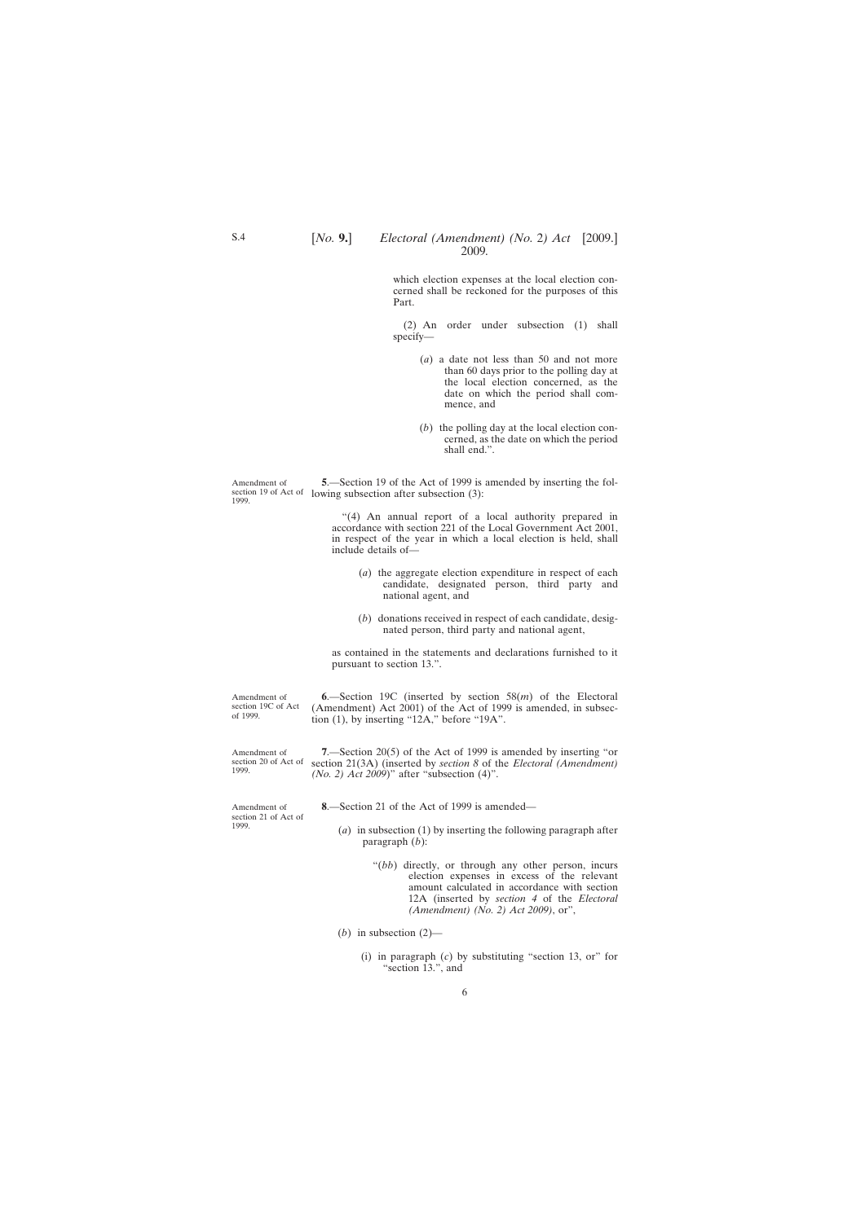<span id="page-5-0"></span>which election expenses at the local election concerned shall be reckoned for the purposes of this Part.

(2) An order under subsection (1) shall specify—

- (*a*) a date not less than 50 and not more than 60 days prior to the polling day at the local election concerned, as the date on which the period shall commence, and
- (*b*) the polling day at the local election concerned, as the date on which the period shall end.".

Amendment of section 19 of Act of lowing subsection after subsection (3): 1999. **5**.—Section 19 of the Act of 1999 is amended by inserting the fol-

> "(4) An annual report of a local authority prepared in accordance with section 221 of the Local Government Act 2001, in respect of the year in which a local election is held, shall include details of—

- (*a*) the aggregate election expenditure in respect of each candidate, designated person, third party and national agent, and
- (*b*) donations received in respect of each candidate, designated person, third party and national agent,

as contained in the statements and declarations furnished to it pursuant to section 13.".

Amendment of section 19C of Act of 1999. **6**.—Section 19C (inserted by section 58(*m*) of the Electoral (Amendment) Act 2001) of the Act of 1999 is amended, in subsection (1), by inserting "12A," before "19A".

Amendment of section 20 of Act of section 21(3A) (inserted by *section 8* of the *Electoral (Amendment)* **7**.—Section 20(5) of the Act of 1999 is amended by inserting "or *(No. 2) Act 2009*)" after "subsection (4)".

**8**.—Section 21 of the Act of 1999 is amended—

- (*a*) in subsection (1) by inserting the following paragraph after paragraph (*b*):
	- "(*bb*) directly, or through any other person, incurs election expenses in excess of the relevant amount calculated in accordance with section 12A (inserted by *section 4* of the *Electoral (Amendment) (No. 2) Act 2009)*, or",

(*b*) in subsection  $(2)$ —

(i) in paragraph (*c*) by substituting "section 13, or" for "section 13.", and

Amendment of section 21 of Act of 1999.

1999.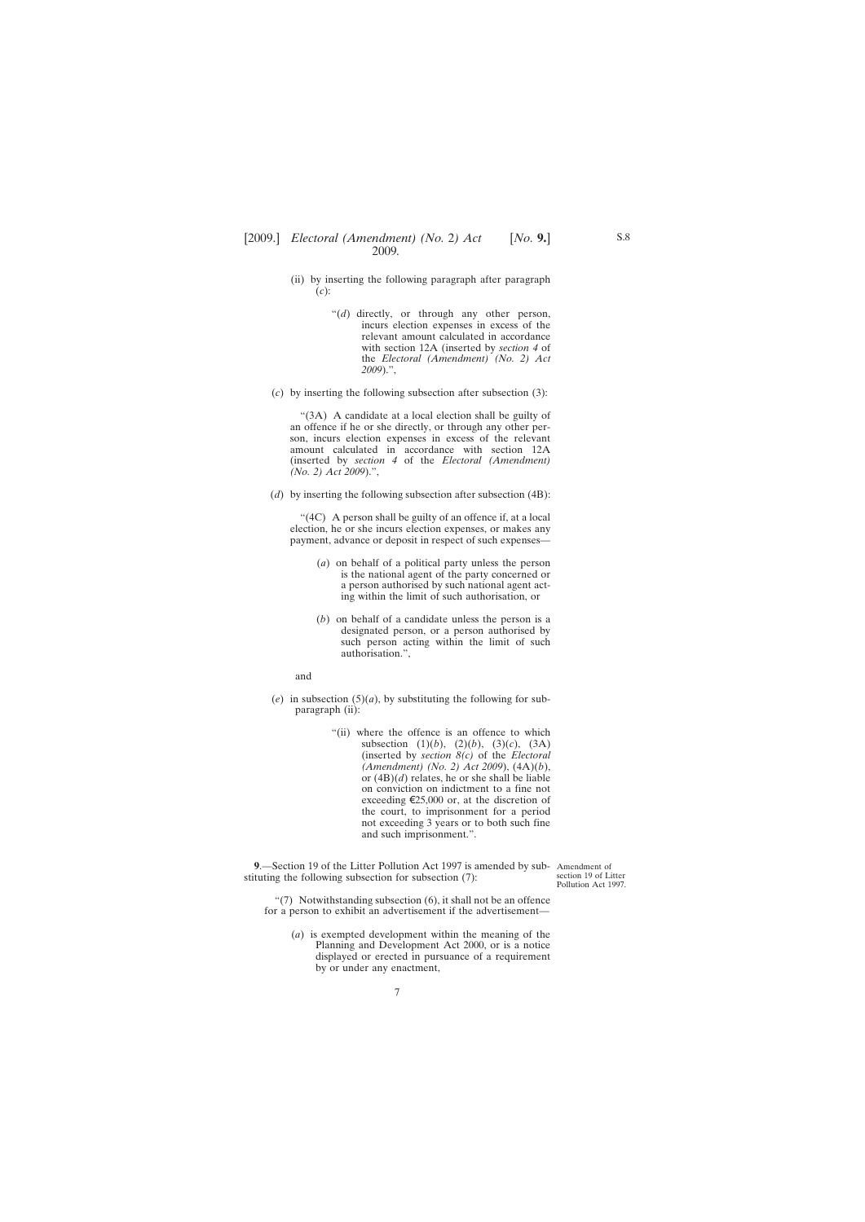- <span id="page-6-0"></span>(ii) by inserting the following paragraph after paragraph (*c*):
	- "(*d*) directly, or through any other person, incurs election expenses in excess of the relevant amount calculated in accordance with section 12A (inserted by *section 4* of the *Electoral (Amendment) (No. 2) Act 2009*).",
- (*c*) by inserting the following subsection after subsection (3):

"(3A) A candidate at a local election shall be guilty of an offence if he or she directly, or through any other person, incurs election expenses in excess of the relevant amount calculated in accordance with section 12A (inserted by *section 4* of the *Electoral (Amendment) (No. 2) Act 2009*).",

(*d*) by inserting the following subsection after subsection (4B):

"(4C) A person shall be guilty of an offence if, at a local election, he or she incurs election expenses, or makes any payment, advance or deposit in respect of such expenses—

- (*a*) on behalf of a political party unless the person is the national agent of the party concerned or a person authorised by such national agent acting within the limit of such authorisation, or
- (*b*) on behalf of a candidate unless the person is a designated person, or a person authorised by such person acting within the limit of such authorisation.",

and

- (*e*) in subsection  $(5)(a)$ , by substituting the following for subparagraph (ii):
	- "(ii) where the offence is an offence to which subsection  $(1)(b)$ ,  $(2)(b)$ ,  $(3)(c)$ ,  $(3A)$ (inserted by *section 8(c)* of the *Electoral (Amendment) (No. 2) Act 2009*), (4A)(*b*), or (4B)(*d*) relates, he or she shall be liable on conviction on indictment to a fine not exceeding  $\epsilon$ 25,000 or, at the discretion of the court, to imprisonment for a period not exceeding 3 years or to both such fine and such imprisonment.".

**9**.—Section 19 of the Litter Pollution Act 1997 is amended by sub-Amendment of stituting the following subsection for subsection (7):

section 19 of Litter Pollution Act 1997.

"(7) Notwithstanding subsection (6), it shall not be an offence for a person to exhibit an advertisement if the advertisement—

(*a*) is exempted development within the meaning of the Planning and Development Act 2000, or is a notice displayed or erected in pursuance of a requirement by or under any enactment,